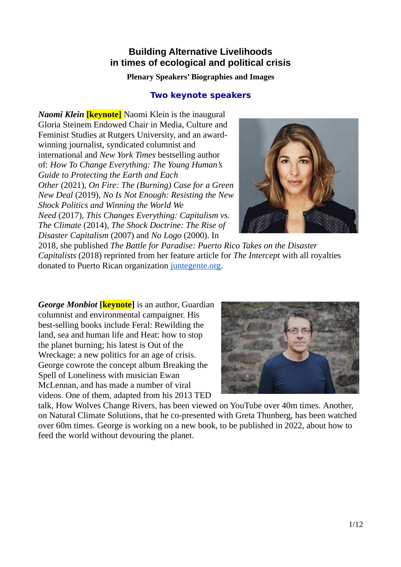# **Building Alternative Livelihoods in times of ecological and political crisis**

### **Plenary Speakers' Biographies and Images**

## **Two keynote speakers**

*Naomi Klein* **[keynote]** Naomi Klein is the inaugural Gloria Steinem Endowed Chair in Media, Culture and Feminist Studies at Rutgers University, and an awardwinning journalist, syndicated columnist and international and *New York Times* bestselling author of: *How To Change Everything: The Young Human's Guide to Protecting the Earth and Each Other* (2021), *On Fire: The (Burning) Case for a Green New Deal* (2019), *No Is Not Enough: Resisting the New Shock Politics and Winning the World We*

*Need* (2017), *This Changes Everything: Capitalism vs. The Climate* (2014), *The Shock Doctrine: The Rise of Disaster Capitalism* (2007) and *No Logo* (2000). In



2018, she published *The Battle for Paradise: Puerto Rico Takes on the Disaster Capitalists* (2018) reprinted from her feature article for *The Intercept* with all royalties donated to Puerto Rican organization [juntegente.org.](https://theisee.wildapricot.org/EmailTracker/LinkTracker.ashx?linkAndRecipientCode=HnLgwmniEB%2F9%2Fopr6f%2BbJf5wCHZweoyMN51a9TMYvZlg1hpyYwl3SLfmA8O7zNmsMT9A3DKdyMaNV0g%2FBAOHtneNKQnLmmAtTs9FFIy6cEw%3D)

*George Monbiot* [**keynote**] is an author, Guardian columnist and environmental campaigner. His best-selling books include Feral: Rewilding the land, sea and human life and Heat: how to stop the planet burning; his latest is Out of the Wreckage: a new politics for an age of crisis. George cowrote the concept album Breaking the Spell of Loneliness with musician Ewan McLennan, and has made a number of viral videos. One of them, adapted from his 2013 TED



talk, How Wolves Change Rivers, has been viewed on YouTube over 40m times. Another, on Natural Climate Solutions, that he co-presented with Greta Thunberg, has been watched over 60m times. George is working on a new book, to be published in 2022, about how to feed the world without devouring the planet.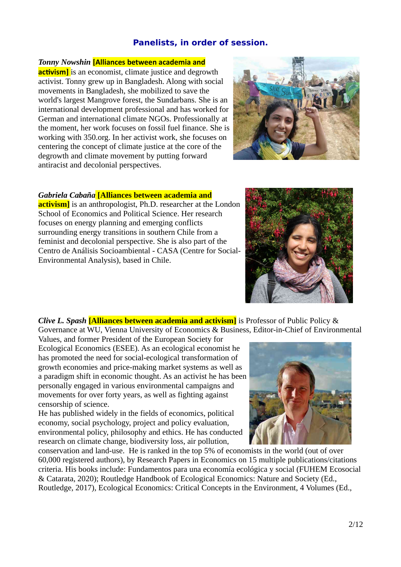## **Panelists, in order of session.**

### *Tonny Nowshin* **[Alliances between academia and**

**activism]** is an economist, climate justice and degrowth activist. Tonny grew up in Bangladesh. Along with social movements in Bangladesh, she mobilized to save the world's largest Mangrove forest, the Sundarbans. She is an international development professional and has worked for German and international climate NGOs. Professionally at the moment, her work focuses on fossil fuel finance. She is working with 350.org. In her activist work, she focuses on centering the concept of climate justice at the core of the degrowth and climate movement by putting forward antiracist and decolonial perspectives.



### *Gabriela Cabaña* **[Alliances between academia and**

**activism]** is an anthropologist, Ph.D. researcher at the London School of Economics and Political Science. Her research focuses on energy planning and emerging conflicts surrounding energy transitions in southern Chile from a feminist and decolonial perspective. She is also part of the Centro de Análisis Socioambiental - CASA (Centre for Social-Environmental Analysis), based in Chile.



*Clive L. Spash* **[Alliances between academia and activism]** is Professor of Public Policy & Governance at WU, Vienna University of Economics & Business, Editor-in-Chief of Environmental

Values, and former President of the European Society for Ecological Economics (ESEE). As an ecological economist he has promoted the need for social-ecological transformation of growth economies and price-making market systems as well as a paradigm shift in economic thought. As an activist he has been personally engaged in various environmental campaigns and movements for over forty years, as well as fighting against censorship of science.

He has published widely in the fields of economics, political economy, social psychology, project and policy evaluation, environmental policy, philosophy and ethics. He has conducted research on climate change, biodiversity loss, air pollution,



conservation and land-use. He is ranked in the top 5% of economists in the world (out of over 60,000 registered authors), by Research Papers in Economics on 15 multiple publications/citations criteria. His books include: Fundamentos para una economía ecológica y social (FUHEM Ecosocial & Catarata, 2020); Routledge Handbook of Ecological Economics: Nature and Society (Ed., Routledge, 2017), Ecological Economics: Critical Concepts in the Environment, 4 Volumes (Ed.,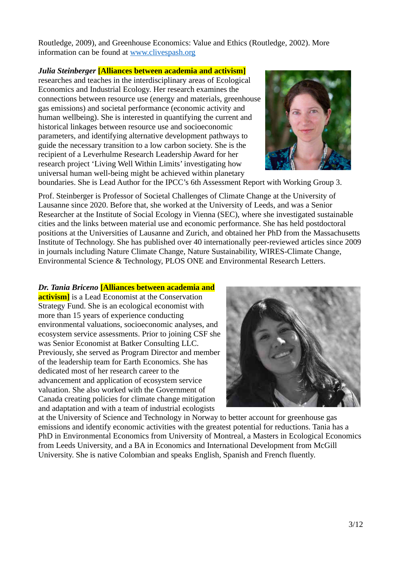Routledge, 2009), and Greenhouse Economics: Value and Ethics (Routledge, 2002). More information can be found at [www.clivespash.org](http://www.clivespash.org/)

#### *Julia Steinberger* **[Alliances between academia and activism]**

researches and teaches in the interdisciplinary areas of Ecological Economics and Industrial Ecology. Her research examines the connections between resource use (energy and materials, greenhouse gas emissions) and societal performance (economic activity and human wellbeing). She is interested in quantifying the current and historical linkages between resource use and socioeconomic parameters, and identifying alternative development pathways to guide the necessary transition to a low carbon society. She is the recipient of a Leverhulme Research Leadership Award for her research project 'Living Well Within Limits' investigating how universal human well-being might be achieved within planetary



boundaries. She is Lead Author for the IPCC's 6th Assessment Report with Working Group 3.

Prof. Steinberger is Professor of Societal Challenges of Climate Change at the University of Lausanne since 2020. Before that, she worked at the University of Leeds, and was a Senior Researcher at the Institute of Social Ecology in Vienna (SEC), where she investigated sustainable cities and the links between material use and economic performance. She has held postdoctoral positions at the Universities of Lausanne and Zurich, and obtained her PhD from the Massachusetts Institute of Technology. She has published over 40 internationally peer-reviewed articles since 2009 in journals including Nature Climate Change, Nature Sustainability, WIRES-Climate Change, Environmental Science & Technology, PLOS ONE and Environmental Research Letters.

#### *Dr. Tania Briceno* **[Alliances between academia and**

**activism**] is a Lead Economist at the Conservation Strategy Fund. She is an ecological economist with more than 15 years of experience conducting environmental valuations, socioeconomic analyses, and ecosystem service assessments. Prior to joining CSF she was Senior Economist at Batker Consulting LLC. Previously, she served as Program Director and member of the leadership team for Earth Economics. She has dedicated most of her research career to the advancement and application of ecosystem service valuation. She also worked with the Government of Canada creating policies for climate change mitigation and adaptation and with a team of industrial ecologists



at the University of Science and Technology in Norway to better account for greenhouse gas emissions and identify economic activities with the greatest potential for reductions. Tania has a PhD in Environmental Economics from University of Montreal, a Masters in Ecological Economics from Leeds University, and a BA in Economics and International Development from McGill University. She is native Colombian and speaks English, Spanish and French fluently.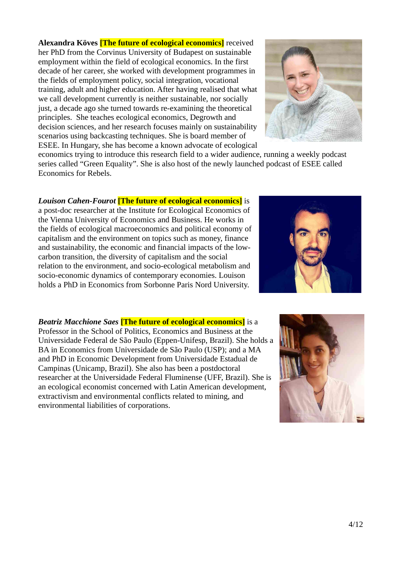**Alexandra Köves [The future of ecological economics]** received her PhD from the Corvinus University of Budapest on sustainable employment within the field of ecological economics. In the first decade of her career, she worked with development programmes in the fields of employment policy, social integration, vocational training, adult and higher education. After having realised that what we call development currently is neither sustainable, nor socially just, a decade ago she turned towards re-examining the theoretical principles. She teaches ecological economics, Degrowth and decision sciences, and her research focuses mainly on sustainability scenarios using backcasting techniques. She is board member of ESEE. In Hungary, she has become a known advocate of ecological



economics trying to introduce this research field to a wider audience, running a weekly podcast series called "Green Equality". She is also host of the newly launched podcast of ESEE called Economics for Rebels.

*Louison Cahen-Fourot* **[The future of ecological economics]** is

a post-doc researcher at the Institute for Ecological Economics of the Vienna University of Economics and Business. He works in the fields of ecological macroeconomics and political economy of capitalism and the environment on topics such as money, finance and sustainability, the economic and financial impacts of the lowcarbon transition, the diversity of capitalism and the social relation to the environment, and socio-ecological metabolism and socio-economic dynamics of contemporary economies. Louison holds a PhD in Economics from Sorbonne Paris Nord University.



*Beatriz Macchione Saes* **[The future of ecological economics]** is a Professor in the School of Politics, Economics and Business at the Universidade Federal de São Paulo (Eppen-Unifesp, Brazil). She holds a BA in Economics from Universidade de São Paulo (USP); and a MA and PhD in Economic Development from Universidade Estadual de Campinas (Unicamp, Brazil). She also has been a postdoctoral researcher at the Universidade Federal Fluminense (UFF, Brazil). She is an ecological economist concerned with Latin American development, extractivism and environmental conflicts related to mining, and environmental liabilities of corporations.

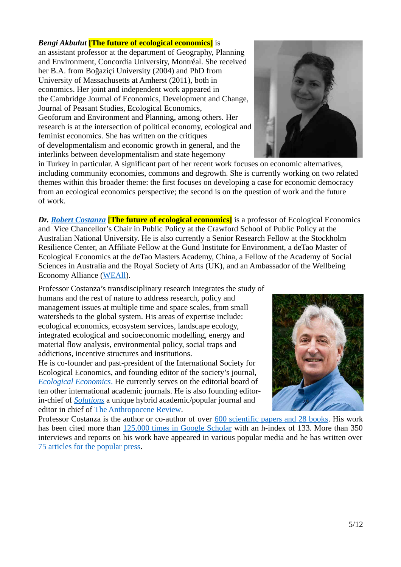#### *Bengi Akbulut* **[The future of ecological economics]** is

an assistant professor at the department of Geography, Planning and Environment, Concordia University, Montréal. She received her B.A. from Boğaziçi University (2004) and PhD from University of Massachusetts at Amherst (2011), both in economics. Her joint and independent work appeared in the Cambridge Journal of Economics, Development and Change, Journal of Peasant Studies, Ecological Economics, Geoforum and Environment and Planning, among others. Her research is at the intersection of political economy, ecological and feminist economics. She has written on the critiques of developmentalism and economic growth in general, and the interlinks between developmentalism and state hegemony



in Turkey in particular. A significant part of her recent work focuses on economic alternatives, including community economies, commons and degrowth. She is currently working on two related themes within this broader theme: the first focuses on developing a case for economic democracy from an ecological economics perspective; the second is on the question of work and the future of work.

*Dr. [Robert Costanza](http://www.robertcostanza.com/)* **[The future of ecological economics]** is a professor of Ecological Economics and Vice Chancellor's Chair in Public Policy at the Crawford School of Public Policy at the Australian National University. He is also currently a Senior Research Fellow at the Stockholm Resilience Center, an Affiliate Fellow at the Gund Institute for Environment, a deTao Master of Ecological Economics at the deTao Masters Academy, China, a Fellow of the Academy of Social Sciences in Australia and the Royal Society of Arts (UK), and an Ambassador of the Wellbeing Economy Alliance [\(WEAll\)](https://wellbeingeconomy.org/).

Professor Costanza's transdisciplinary research integrates the study of humans and the rest of nature to address research, policy and management issues at multiple time and space scales, from small watersheds to the global system. His areas of expertise include: ecological economics, ecosystem services, landscape ecology, integrated ecological and socioeconomic modelling, energy and material flow analysis, environmental policy, social traps and addictions, incentive structures and institutions.

He is co-founder and past-president of the International Society for Ecological Economics, and founding editor of the society's journal,  *[Ecological Economics](https://www.journals.elsevier.com/ecological-economics/editorial-board)*[.](https://www.journals.elsevier.com/ecological-economics/editorial-board) He currently serves on the editorial board of ten other international academic journals. He is also founding editorin-chief of *[Solutions](http://www.thesolutionsjournal.org/)* a unique hybrid academic/popular journal and editor in chief of [The Anthropocene Review.](https://journals.sagepub.com/home/anr)



Professor Costanza is the author or co-author of over [600 scientific papers and 28 books.](http://www.robertcostanza.com/) His work has been cited more than [125,000 times in Google Scholar](https://scholar.google.com.sg/citations?hl=en&user=EQ-mkaAAAAAJ) with an h-index of 133. More than 350 interviews and reports on his work have appeared in various popular media and he has written over [75 articles for the popular press.](http://www.robertcostanza.com/popular-articles/)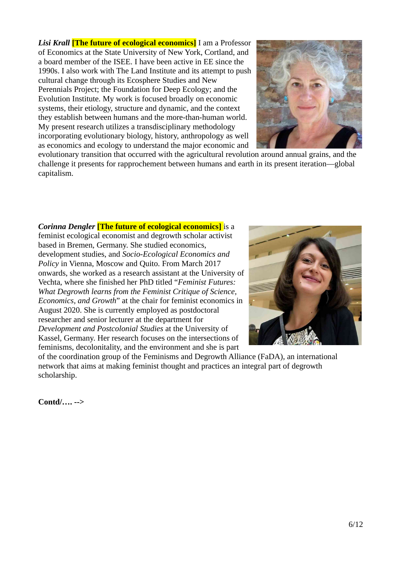*Lisi Krall* **[The future of ecological economics]** I am a Professor of Economics at the State University of New York, Cortland, and a board member of the ISEE. I have been active in EE since the 1990s. I also work with The Land Institute and its attempt to push cultural change through its Ecosphere Studies and New Perennials Project; the Foundation for Deep Ecology; and the Evolution Institute. My work is focused broadly on economic systems, their etiology, structure and dynamic, and the context they establish between humans and the more-than-human world. My present research utilizes a transdisciplinary methodology incorporating evolutionary biology, history, anthropology as well as economics and ecology to understand the major economic and



evolutionary transition that occurred with the agricultural revolution around annual grains, and the challenge it presents for rapprochement between humans and earth in its present iteration—global capitalism.

#### *Corinna Dengler* **[The future of ecological economics]** is a feminist ecological economist and degrowth scholar activist based in Bremen, Germany. She studied economics, development studies, and *Socio-Ecological Economics and Policy* in Vienna, Moscow and Quito. From March 2017 onwards, she worked as a research assistant at the University of Vechta, where she finished her PhD titled "*Feminist Futures: What Degrowth learns from the Feminist Critique of Science, Economics, and Growth*" at the chair for feminist economics in August 2020. She is currently employed as postdoctoral researcher and senior lecturer at the department for *Development and Postcolonial Studies* at the University of Kassel, Germany. Her research focuses on the intersections of feminisms, decolonitality, and the environment and she is part



of the coordination group of the Feminisms and Degrowth Alliance (FaDA), an international network that aims at making feminist thought and practices an integral part of degrowth scholarship.

**Contd/…. -->**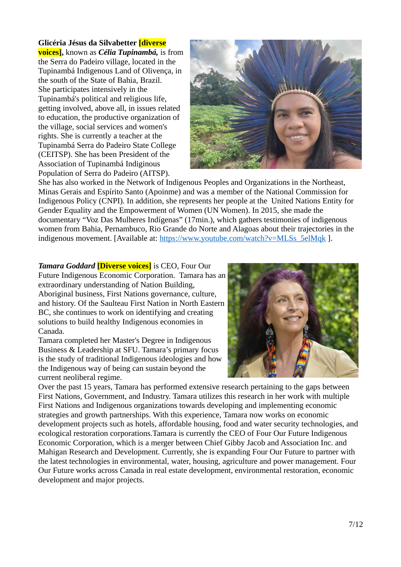#### **Glicéria Jésus da Silvabetter [diverse**

**voices],** known as *Célia Tupinambá,* is from the Serra do Padeiro village, located in the Tupinambá Indigenous Land of Olivença, in the south of the State of Bahia, Brazil. She participates intensively in the Tupinambá's political and religious life, getting involved, above all, in issues related to education, the productive organization of the village, social services and women's rights. She is currently a teacher at the Tupinambá Serra do Padeiro State College (CEITSP). She has been President of the Association of Tupinambá Indiginous Population of Serra do Padeiro (AITSP).



She has also worked in the Network of Indigenous Peoples and Organizations in the Northeast, Minas Gerais and Espírito Santo (Apoinme) and was a member of the National Commission for Indigenous Policy (CNPI). In addition, she represents her people at the United Nations Entity for Gender Equality and the Empowerment of Women (UN Women). In 2015, she made the documentary "Voz Das Mulheres Indígenas" (17min.), which gathers testimonies of indigenous women from Bahia, Pernambuco, Rio Grande do Norte and Alagoas about their trajectories in the indigenous movement. [Available at: [https://www.youtube.com/watch?v=MLSs\\_5elMqk](https://www.youtube.com/watch?v=MLSs_5elMqk) ].

*Tamara Goddard* **[Diverse voices]** is CEO, Four Our Future Indigenous Economic Corporation. Tamara has an extraordinary understanding of Nation Building, Aboriginal business, First Nations governance, culture, and history. Of the Saulteau First Nation in North Eastern BC, she continues to work on identifying and creating solutions to build healthy Indigenous economies in Canada.

Tamara completed her Master's Degree in Indigenous Business & Leadership at SFU. Tamara's primary focus is the study of traditional Indigenous ideologies and how the Indigenous way of being can sustain beyond the current neoliberal regime.



Over the past 15 years, Tamara has performed extensive research pertaining to the gaps between First Nations, Government, and Industry. Tamara utilizes this research in her work with multiple First Nations and Indigenous organizations towards developing and implementing economic strategies and growth partnerships. With this experience, Tamara now works on economic development projects such as hotels, affordable housing, food and water security technologies, and ecological restoration corporations.Tamara is currently the CEO of Four Our Future Indigenous Economic Corporation, which is a merger between Chief Gibby Jacob and Association Inc. and Mahigan Research and Development. Currently, she is expanding Four Our Future to partner with the latest technologies in environmental, water, housing, agriculture and power management. Four Our Future works across Canada in real estate development, environmental restoration, economic development and major projects.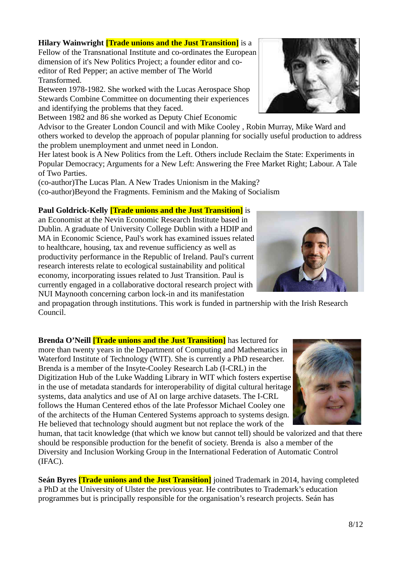## **Hilary Wainwright** *[Trade unions and the Just Transition]* **is a**

Fellow of the Transnational Institute and co-ordinates the European dimension of it's New Politics Project; a founder editor and coeditor of Red Pepper; an active member of The World Transformed.

Between 1978-1982. She worked with the Lucas Aerospace Shop Stewards Combine Committee on documenting their experiences and identifying the problems that they faced.

Between 1982 and 86 she worked as Deputy Chief Economic

Advisor to the Greater London Council and with Mike Cooley , Robin Murray, Mike Ward and others worked to develop the approach of popular planning for socially useful production to address the problem unemployment and unmet need in London.

Her latest book is A New Politics from the Left. Others include Reclaim the State: Experiments in Popular Democracy; Arguments for a New Left: Answering the Free Market Right; Labour. A Tale of Two Parties.

(co-author)The Lucas Plan. A New Trades Unionism in the Making? (co-author)Beyond the Fragments. Feminism and the Making of Socialism

### **Paul Goldrick-Kelly [Trade unions and the Just Transition]** is

an Economist at the Nevin Economic Research Institute based in Dublin. A graduate of University College Dublin with a HDIP and MA in Economic Science, Paul's work has examined issues related to healthcare, housing, tax and revenue sufficiency as well as productivity performance in the Republic of Ireland. Paul's current research interests relate to ecological sustainability and political economy, incorporating issues related to Just Transition. Paul is currently engaged in a collaborative doctoral research project with NUI Maynooth concerning carbon lock-in and its manifestation

and propagation through institutions. This work is funded in partnership with the Irish Research Council.

**Brenda O'Neill [Trade unions and the Just Transition]** has lectured for more than twenty years in the Department of Computing and Mathematics in Waterford Institute of Technology (WIT). She is currently a PhD researcher. Brenda is a member of the Insyte-Cooley Research Lab (I-CRL) in the Digitization Hub of the Luke Wadding Library in WIT which fosters expertise in the use of metadata standards for interoperability of digital cultural heritage systems, data analytics and use of AI on large archive datasets. The I-CRL follows the Human Centered ethos of the late Professor Michael Cooley one of the architects of the Human Centered Systems approach to systems design. He believed that technology should augment but not replace the work of the

human, that tacit knowledge (that which we know but cannot tell) should be valorized and that there should be responsible production for the benefit of society. Brenda is also a member of the Diversity and Inclusion Working Group in the International Federation of Automatic Control (IFAC).

**Seán Byres [Trade unions and the Just Transition]** joined Trademark in 2014, having completed a PhD at the University of Ulster the previous year. He contributes to Trademark's education programmes but is principally responsible for the organisation's research projects. Seán has



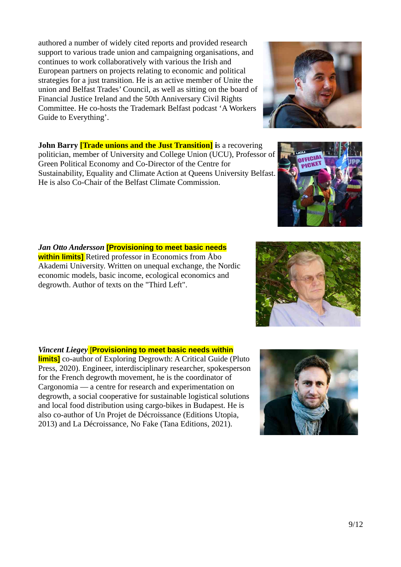authored a number of widely cited reports and provided research support to various trade union and campaigning organisations, and continues to work collaboratively with various the Irish and European partners on projects relating to economic and political strategies for a just transition. He is an active member of Unite the union and Belfast Trades' Council, as well as sitting on the board of Financial Justice Ireland and the 50th Anniversary Civil Rights Committee. He co-hosts the Trademark Belfast podcast 'A Workers Guide to Everything'.

**John Barry** *[Trade unions and the Just Transition]* **is a recovering** politician, member of University and College Union (UCU), Professor of Green Political Economy and Co-Director of the Centre for Sustainability, Equality and Climate Action at Queens University Belfast. He is also Co-Chair of the Belfast Climate Commission.

#### *Jan Otto Andersson* **[Provisioning to meet basic needs within limits]** Retired professor in Economics from Åbo Akademi University. Written on unequal exchange, the Nordic

economic models, basic income, ecological economics and

degrowth. Author of texts on the "Third Left".

*Vincent Liegey* [**Provisioning to meet basic needs within limits]** co-author of Exploring Degrowth: A Critical Guide (Pluto Press, 2020). Engineer, interdisciplinary researcher, spokesperson for the French degrowth movement, he is the coordinator of Cargonomia — a centre for research and experimentation on degrowth, a social cooperative for sustainable logistical solutions and local food distribution using cargo-bikes in Budapest. He is also co-author of Un Projet de Décroissance (Editions Utopia, 2013) and La Décroissance, No Fake (Tana Editions, 2021).





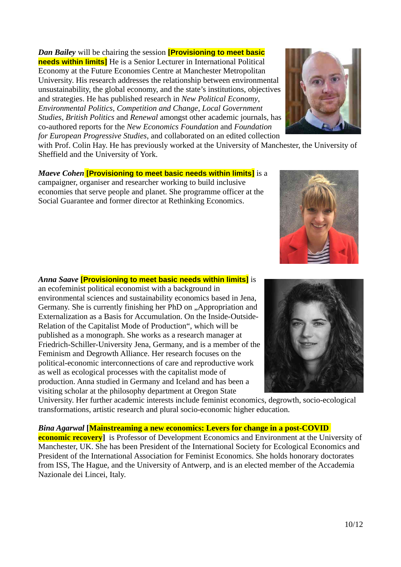*Dan Bailey* will be chairing the session **[Provisioning to meet basic needs within limits]** He is a Senior Lecturer in International Political Economy at the Future Economies Centre at Manchester Metropolitan University. His research addresses the relationship between environmental unsustainability, the global economy, and the state's institutions, objectives and strategies. He has published research in *New Political Economy*, *Environmental Politics*, *Competition and Change*, *Local Government Studies*, *British Politics* and *Renewal* amongst other academic journals, has co-authored reports for the *New Economics Foundation* and *Foundation for European Progressive Studies*, and collaborated on an edited collection

with Prof. Colin Hay. He has previously worked at the University of Manchester, the University of Sheffield and the University of York.

*Maeve Cohen* **[Provisioning to meet basic needs within limits]** is a campaigner, organiser and researcher working to build inclusive economies that serve people and planet. She programme officer at the Social Guarantee and former director at Rethinking Economics.

*Anna Saave* **[Provisioning to meet basic needs within limits]** is an ecofeminist political economist with a background in environmental sciences and sustainability economics based in Jena, Germany. She is currently finishing her PhD on "Appropriation and Externalization as a Basis for Accumulation. On the Inside-Outside-Relation of the Capitalist Mode of Production", which will be published as a monograph. She works as a research manager at Friedrich-Schiller-University Jena, Germany, and is a member of the Feminism and Degrowth Alliance. Her research focuses on the political-economic interconnections of care and reproductive work as well as ecological processes with the capitalist mode of production. Anna studied in Germany and Iceland and has been a visiting scholar at the philosophy department at Oregon State

University. Her further academic interests include feminist economics, degrowth, socio-ecological transformations, artistic research and plural socio-economic higher education.

*Bina Agarwal* **[Mainstreaming a new economics: Levers for change in a post-COVID economic recovery** is Professor of Development Economics and Environment at the University of Manchester, UK. She has been President of the International Society for Ecological Economics and President of the International Association for Feminist Economics. She holds honorary doctorates from ISS, The Hague, and the University of Antwerp, and is an elected member of the Accademia Nazionale dei Lincei, Italy.





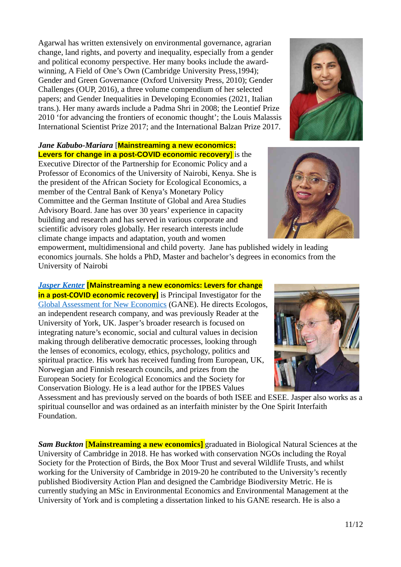Agarwal has written extensively on environmental governance, agrarian change, land rights, and poverty and inequality, especially from a gender and political economy perspective. Her many books include the awardwinning, A Field of One's Own (Cambridge University Press,1994); Gender and Green Governance (Oxford University Press, 2010); Gender Challenges (OUP, 2016), a three volume compendium of her selected papers; and Gender Inequalities in Developing Economies (2021, Italian trans.). Her many awards include a Padma Shri in 2008; the Leontief Prize 2010 'for advancing the frontiers of economic thought'; the Louis Malassis International Scientist Prize 2017; and the International Balzan Prize 2017.

#### *Jane Kabubo-Mariara* [**Mainstreaming a new economics: Levers for change in a post-COVID economic recovery** is the

Executive Director of the Partnership for Economic Policy and a Professor of Economics of the University of Nairobi, Kenya. She is the president of the African Society for Ecological Economics, a member of the Central Bank of Kenya's Monetary Policy Committee and the German Institute of Global and Area Studies Advisory Board. Jane has over 30 years' experience in capacity building and research and has served in various corporate and scientific advisory roles globally. Her research interests include climate change impacts and adaptation, youth and women

empowerment, multidimensional and child poverty. Jane has published widely in leading economics journals. She holds a PhD, Master and bachelor's degrees in economics from the University of Nairobi

*[Jasper Kenter](http://www.jasperkenter.com/)* **[Mainstreaming a new economics: Levers for change in a post-COVID economic recovery]** is Principal Investigator for the [Global Assessment for New Economics](http://www.neweconomics.net/) (GANE). He directs Ecologos, an independent research company, and was previously Reader at the University of York, UK. Jasper's broader research is focused on integrating nature's economic, social and cultural values in decision making through deliberative democratic processes, looking through the lenses of economics, ecology, ethics, psychology, politics and spiritual practice. His work has received funding from European, UK, Norwegian and Finnish research councils, and prizes from the European Society for Ecological Economics and the Society for Conservation Biology. He is a lead author for the IPBES Values

Assessment and has previously served on the boards of both ISEE and ESEE. Jasper also works as a spiritual counsellor and was ordained as an interfaith minister by the One Spirit Interfaith Foundation.

*Sam Buckton* [**Mainstreaming a new economics]** graduated in Biological Natural Sciences at the University of Cambridge in 2018. He has worked with conservation NGOs including the Royal Society for the Protection of Birds, the Box Moor Trust and several Wildlife Trusts, and whilst working for the University of Cambridge in 2019-20 he contributed to the University's recently published Biodiversity Action Plan and designed the Cambridge Biodiversity Metric. He is currently studying an MSc in Environmental Economics and Environmental Management at the University of York and is completing a dissertation linked to his GANE research. He is also a